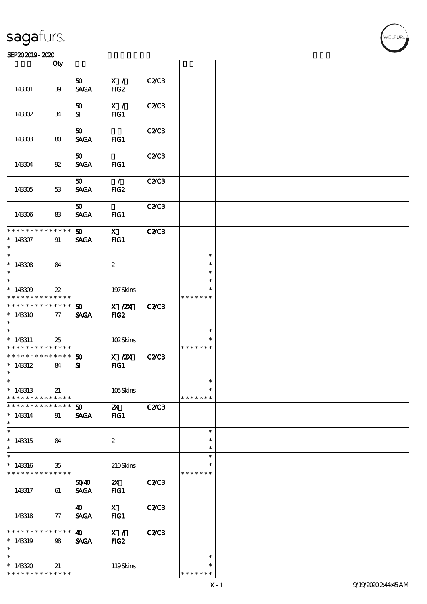#### SEP202019-2020 2000 12:00 12:00 12:00 12:00 12:00 12:00 12:00 12:00 12:00 12:00 12:00 12:00 12:00 12:00 12:00

|                                            | Qty                   |                 |                       |              |                  |  |
|--------------------------------------------|-----------------------|-----------------|-----------------------|--------------|------------------|--|
|                                            |                       | 50 <sub>1</sub> | X /                   | C2C3         |                  |  |
| 143301                                     | $39\,$                | <b>SAGA</b>     | FIG <sub>2</sub>      |              |                  |  |
|                                            |                       | 50              | X /                   | <b>C2/C3</b> |                  |  |
| 143302                                     | 34                    | ${\bf s}$       | $HG1$                 |              |                  |  |
|                                            |                       | 50              |                       | C2C3         |                  |  |
| 143303                                     | 80                    | <b>SAGA</b>     | FG1                   |              |                  |  |
|                                            |                       | 50              |                       | C2/C3        |                  |  |
| 143304                                     | $92\,$                | <b>SAGA</b>     | FG1                   |              |                  |  |
|                                            |                       | 50              | $\mathcal{L}$         | C2/C3        |                  |  |
| 143305                                     | 53                    | <b>SAGA</b>     | FIG2                  |              |                  |  |
|                                            |                       | 50              |                       | C2C3         |                  |  |
| 143306                                     | 83                    | <b>SAGA</b>     | FIG1                  |              |                  |  |
| * * * * * * * *                            | * * * * * *           | 50 <sub>2</sub> | $\mathbf{X}$          | <b>C2/C3</b> |                  |  |
| $*143307$<br>$\ast$                        | 91                    | <b>SAGA</b>     | $HG1$                 |              |                  |  |
|                                            |                       |                 |                       |              | $\ast$           |  |
| $*143308$                                  | 84                    |                 | $\boldsymbol{z}$      |              | $\ast$           |  |
| $\ast$<br>$\overline{\phantom{0}}$         |                       |                 |                       |              | $\ast$           |  |
|                                            |                       |                 |                       |              | $\ast$           |  |
| $*143309$<br>* * * * * * * *               | $22\,$<br>* * * * * * |                 | 197Skins              |              | * * * * * * *    |  |
| * * * * * * * * <mark>* * * * * *</mark>   |                       | 50              | $X$ / $ZX$            | C2C3         |                  |  |
| $*143310$<br>$\ast$                        | 77                    | <b>SAGA</b>     | FIG <sub>2</sub>      |              |                  |  |
| $\overline{\phantom{0}}$                   |                       |                 |                       |              | $\ast$           |  |
| $*143311$                                  | 25                    |                 | 102Skins              |              | $\ast$           |  |
| * * * * * * * *                            | * * * * * *           |                 |                       |              | * * * * * * *    |  |
| * * * * * * * * <mark>* * * * * * *</mark> |                       | 50              | $X$ / $ZX$            | C2C3         |                  |  |
| $*143312$                                  | 84                    | ${\bf s}$       | FG1                   |              |                  |  |
| $\ast$<br>$\ast$                           |                       |                 |                       |              | $\ast$           |  |
| $*143313$                                  | 21                    |                 | 105Skins              |              | $\ast$           |  |
| * * * * * * * *                            | * * * * * *           |                 |                       |              | * * * * * * *    |  |
| * * * * * * * *                            | * * * * * *           | 50              | $\boldsymbol{\alpha}$ | <b>C2/C3</b> |                  |  |
| $*143314$                                  | 91                    | <b>SAGA</b>     | $HG1$                 |              |                  |  |
| $\ast$                                     |                       |                 |                       |              |                  |  |
| $\overline{\ast}$                          |                       |                 |                       |              | $\ast$           |  |
| $*143315$<br>$\ast$                        | 84                    |                 | $\boldsymbol{2}$      |              | $\ast$<br>$\ast$ |  |
| $\ast$                                     |                       |                 |                       |              | $\ast$           |  |
| $*143316$                                  | $35\,$                |                 | 210Skins              |              | $\ast$           |  |
| * * * * * * * * <mark>* * * * * * *</mark> |                       |                 |                       |              | * * * * * * *    |  |
|                                            |                       | 5040            | $\mathbf{x}$          | C2C3         |                  |  |
| 143317                                     | 61                    | <b>SAGA</b>     | FG1                   |              |                  |  |
|                                            |                       | 40              | $\mathbf{X}$          | C2C3         |                  |  |
| 143318                                     | 77                    | <b>SAGA</b>     | FG1                   |              |                  |  |
| * * * * * * *                              | * * * * * *           | 40              | X /                   | <b>C2/C3</b> |                  |  |
| $*143319$                                  | 98                    | <b>SAGA</b>     | FIG <sub>2</sub>      |              |                  |  |
| $\ast$                                     |                       |                 |                       |              |                  |  |
| $\ast$                                     |                       |                 |                       |              | $\ast$           |  |
| $*143320$                                  | 21                    |                 | 119Skins              |              | $\ast$           |  |
| * * * * * * * *                            | * * * * * *           |                 |                       |              | * * * * * * *    |  |

**NELFUR**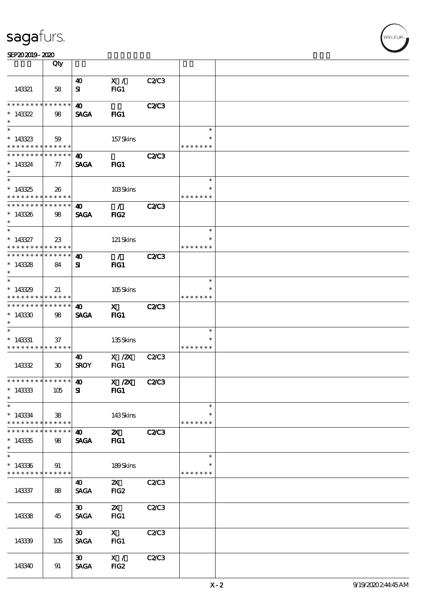| SEP202019-2020 |  |  |
|----------------|--|--|
|----------------|--|--|

|                                           | Qty                              |                             |                  |              |                         |  |
|-------------------------------------------|----------------------------------|-----------------------------|------------------|--------------|-------------------------|--|
|                                           |                                  | 40                          | X /              | C2C3         |                         |  |
| 143321                                    | 58                               | ${\bf s}$                   | FG1              |              |                         |  |
| * * * * * * * *                           | $\ast\ast\ast\ast\ast\ast$       | $\boldsymbol{\omega}$       |                  | <b>C2/C3</b> |                         |  |
| $*143322$<br>$\ast$                       | 98                               | <b>SAGA</b>                 | $HG1$            |              |                         |  |
|                                           |                                  |                             |                  |              | $\ast$                  |  |
| $*143323$<br>* * * * * * * *              | 59<br>* * * * * *                |                             | 157Skins         |              | * * * * * * *           |  |
| * * * * * * * *                           | * * * * * *                      | 40                          |                  | <b>C2/C3</b> |                         |  |
| $*143324$<br>$\ast$                       | $\tau$                           | <b>SAGA</b>                 | $HG1$            |              |                         |  |
|                                           |                                  |                             |                  |              | $\ast$                  |  |
| $*143325$<br>* * * * * * * *              | 26<br>$\ast\ast\ast\ast\ast\ast$ |                             | 103Skins         |              | $\ast$<br>* * * * * * * |  |
| * * * * * * * *                           | ******                           | 40                          | $\mathcal{L}$    | <b>C2/C3</b> |                         |  |
| $*143326$<br>$\ast$                       | 98                               | <b>SAGA</b>                 | FIG2             |              |                         |  |
| $\ast$                                    |                                  |                             |                  |              | $\ast$                  |  |
| $* 143327$<br>* * * * * * * *             | 23<br>* * * * * *                |                             | 121 Skins        |              | $\ast$<br>* * * * * * * |  |
| * * * * * * * * * * * * * *               |                                  | $\boldsymbol{\omega}$       | $\mathcal{L}$    | <b>C2/C3</b> |                         |  |
| $*143328$<br>$\ast$                       | 84                               | ${\bf s}$                   | FIG1             |              |                         |  |
| $*$                                       |                                  |                             |                  |              | $\ast$                  |  |
| $*143329$<br>* * * * * * * *              | 21<br>* * * * * *                |                             | 105Skins         |              | * * * * * * *           |  |
| * * * * * * * *                           | $\ast\ast\ast\ast\ast\ast$       | 40                          | $\mathbf{x}$     | <b>C2/C3</b> |                         |  |
| $*14330$<br>$\ast$                        | 98                               | <b>SAGA</b>                 | FIG1             |              |                         |  |
| $\overline{\phantom{0}}$                  |                                  |                             |                  |              | $\ast$                  |  |
| $* 143331$<br>* * * * * * * * * * * * * * | 37                               |                             | 135Skins         |              | $\ast$<br>* * * * * * * |  |
|                                           |                                  | 40                          | $X$ / $ZX$       | <b>C2/C3</b> |                         |  |
| 143332                                    | $30^{\circ}$                     | <b>SROY</b>                 | FG1              |              |                         |  |
| ******** <sup>******</sup> 40             |                                  |                             | X / ZX           | <b>C2/C3</b> |                         |  |
| $*143333$<br>$\ast$                       | 105                              | ${\bf s}$                   | FIG1             |              |                         |  |
| $\ast$                                    |                                  |                             |                  |              | $\ast$                  |  |
| $*143334$<br>* * * * * * * *              | $\mathbf{38}$<br>* * * * * *     |                             | 143Skins         |              | $\ast$<br>* * * * * * * |  |
| * * * * * * *                             | * * * * * *                      | 40                          | $\mathbf{z}$     | <b>C2/C3</b> |                         |  |
| $*143335$<br>$\ast$                       | 98                               | <b>SAGA</b>                 | $HG1$            |              |                         |  |
| $\ast$                                    |                                  |                             |                  |              | $\ast$                  |  |
| $*143336$<br>* * * * * * * *              | 91<br>* * * * * *                |                             | 189Skins         |              | * * * * * * *           |  |
|                                           |                                  | 40                          | $\mathbf{x}$     | C2C3         |                         |  |
| 143337                                    | 88                               | <b>SAGA</b>                 | FIG <sub>2</sub> |              |                         |  |
|                                           |                                  | $\boldsymbol{\mathfrak{D}}$ | $\mathbf{X}$     | C2C3         |                         |  |
| 143338                                    | 45                               | <b>SAGA</b>                 | FG1              |              |                         |  |
|                                           |                                  | $\boldsymbol{\mathfrak{D}}$ | $\mathbf{X}$     | C2/C3        |                         |  |
| 143339                                    | 105                              | <b>SAGA</b>                 | $HG1$            |              |                         |  |
|                                           |                                  | $\boldsymbol{\mathfrak{D}}$ | X /              | C2/C3        |                         |  |
| 143340                                    | 91                               | <b>SAGA</b>                 | FIG <sub>2</sub> |              |                         |  |

**VELFUR**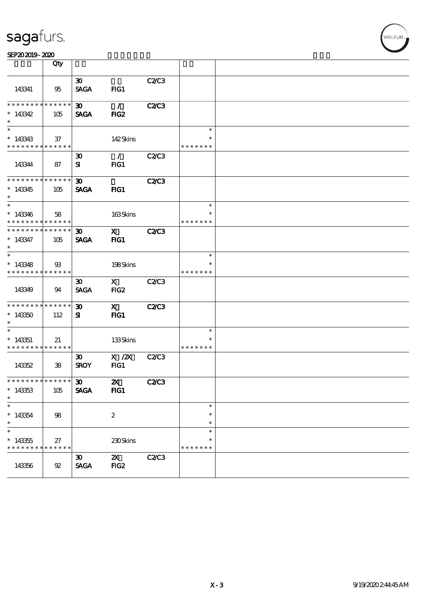| SEP202019-2020 |  |  |
|----------------|--|--|
|----------------|--|--|

|                                                    | Qty                               |                                            |                                                                                                                                                                                                                                                                                                                                          |              |                                   |  |
|----------------------------------------------------|-----------------------------------|--------------------------------------------|------------------------------------------------------------------------------------------------------------------------------------------------------------------------------------------------------------------------------------------------------------------------------------------------------------------------------------------|--------------|-----------------------------------|--|
| 143341                                             | 95                                | $\boldsymbol{\mathfrak{D}}$<br><b>SAGA</b> | FIG1                                                                                                                                                                                                                                                                                                                                     | C2C3         |                                   |  |
| ********<br>$*143342$<br>$\ast$                    | * * * * * *<br>105                | $30-1$<br><b>SAGA</b>                      | $\mathcal{L}$<br>FIG <sub>2</sub>                                                                                                                                                                                                                                                                                                        | <b>C2/C3</b> |                                   |  |
| $\ast$<br>$*143343$<br>* * * * * * * * * * * * * * | 37                                |                                            | 142Skins                                                                                                                                                                                                                                                                                                                                 |              | $\ast$<br>* * * * * * *           |  |
| 143344                                             | 87                                | $\boldsymbol{\mathfrak{D}}$<br>${\bf s}$   | $\mathcal{L}$<br>FG1                                                                                                                                                                                                                                                                                                                     | C2C3         |                                   |  |
| * * * * * * * * * * * * * *<br>$*143345$<br>$\ast$ | 105                               | $\boldsymbol{\mathfrak{D}}$<br><b>SAGA</b> | FIG1                                                                                                                                                                                                                                                                                                                                     | <b>C2/C3</b> |                                   |  |
| $\ast$<br>$*143346$<br>* * * * * * * * * * * * * * | 58                                |                                            | 163Skins                                                                                                                                                                                                                                                                                                                                 |              | $\ast$<br>∗<br>* * * * * * *      |  |
| * * * * * * * *<br>$*143347$<br>$\ast$             | $\ast\ast\ast\ast\ast\ast$<br>105 | $\boldsymbol{\mathfrak{D}}$<br><b>SAGA</b> | $\mathbf x$ and $\mathbf x$ and $\mathbf x$ and $\mathbf x$ and $\mathbf x$ and $\mathbf x$ and $\mathbf x$ and $\mathbf x$ and $\mathbf x$ and $\mathbf x$ and $\mathbf x$ and $\mathbf x$ and $\mathbf x$ and $\mathbf x$ and $\mathbf x$ and $\mathbf x$ and $\mathbf x$ and $\mathbf x$ and $\mathbf x$ and $\mathbf x$ and<br>$HG1$ | <b>C2/C3</b> |                                   |  |
| $\ast$<br>$*143348$<br>* * * * * * * * * * * * * * | $\mathfrak{B}$                    |                                            | 198Skins                                                                                                                                                                                                                                                                                                                                 |              | $\ast$<br>$\ast$<br>* * * * * * * |  |
| 143349                                             | 94                                | $\boldsymbol{\mathfrak{D}}$<br><b>SAGA</b> | $\mathbf X$<br>FIG <sub>2</sub>                                                                                                                                                                                                                                                                                                          | C2C3         |                                   |  |
| * * * * * * * *<br>$*143350$<br>$\ast$             | $\ast\ast\ast\ast\ast\ast$<br>112 | 30 <sub>o</sub><br>${\bf s}$               | $\mathbf{x}$<br>FIG1                                                                                                                                                                                                                                                                                                                     | <b>C2/C3</b> |                                   |  |
| $*143351$<br>* * * * * * * * * * * * * *           | 21                                |                                            | 133Skins                                                                                                                                                                                                                                                                                                                                 |              | $\ast$<br>*<br>* * * * * * *      |  |
| 143352                                             | 38                                | $\boldsymbol{\mathfrak{D}}$<br><b>SROY</b> | $X$ / $ZX$<br>FG1                                                                                                                                                                                                                                                                                                                        | C2C3         |                                   |  |
| **************** 30<br>$*143353$<br>$\ast$         | 105                               | <b>SAGA</b>                                | $\boldsymbol{\mathsf{Z}}$<br>FIG1                                                                                                                                                                                                                                                                                                        | <b>C2/C3</b> |                                   |  |
| $\ast$<br>$*143354$<br>$\ast$                      | 98                                |                                            | $\boldsymbol{2}$                                                                                                                                                                                                                                                                                                                         |              | $\ast$<br>$\ast$<br>$\ast$        |  |
| $\ast$<br>$*143355$<br>* * * * * * * *             | 27<br>* * * * * *                 |                                            | 230Skins                                                                                                                                                                                                                                                                                                                                 |              | $\ast$<br>$\ast$<br>* * * * * * * |  |
| 143356                                             | $92\,$                            | $\boldsymbol{\mathfrak{D}}$<br><b>SAGA</b> | $\mathbf{x}$<br>FIG <sub>2</sub>                                                                                                                                                                                                                                                                                                         | C2/C3        |                                   |  |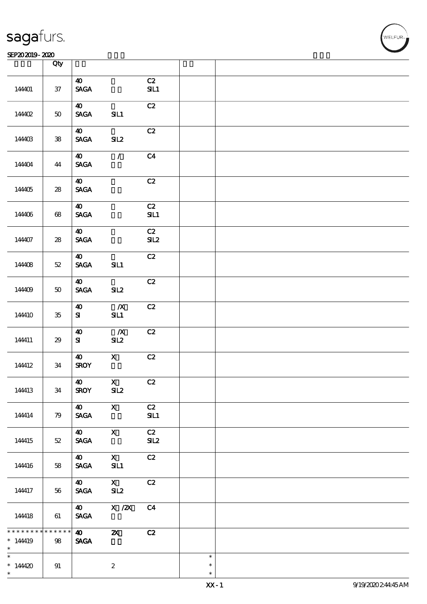#### SEP202019-2020 Production of the contract of the contract of the contract of the contract of the contract of the contract of the contract of the contract of the contract of the contract of the contract of the contract of t

|                                     | Qty                   |                                                         |                                       |                |                            |  |
|-------------------------------------|-----------------------|---------------------------------------------------------|---------------------------------------|----------------|----------------------------|--|
|                                     |                       |                                                         |                                       |                |                            |  |
| 144401                              | $37\,$                | $\boldsymbol{\omega}$<br>$\operatorname{\mathsf{SAGA}}$ |                                       | C2<br>SL1      |                            |  |
| 14402                               | $5\!\mathrm{O}$       | $\boldsymbol{\omega}$<br><b>SAGA</b>                    | SL1                                   | C2             |                            |  |
| 144403                              | ${\bf 38}$            | $\boldsymbol{\omega}$<br><b>SAGA</b>                    | SL2                                   | C2             |                            |  |
| 144404                              | 44                    | $\boldsymbol{\omega}$<br>$\ensuremath{\mathsf{SAGA}}$   | $\mathcal{L}$                         | C <sub>4</sub> |                            |  |
| 144405                              | ${\bf 28}$            | $\boldsymbol{\omega}$<br><b>SAGA</b>                    |                                       | C2             |                            |  |
| 144406                              | $68\,$                | $\boldsymbol{\omega}$<br>$\operatorname{\mathsf{SAGA}}$ |                                       | C2<br>SL1      |                            |  |
| 144407                              | ${\bf 28}$            | $\boldsymbol{\omega}$<br>$\ensuremath{\mathsf{SAGA}}$   |                                       | C2<br>SL2      |                            |  |
| 144408                              | $5\!2$                | $\boldsymbol{\omega}$<br>$\ensuremath{\mathsf{SAGA}}$   | SL1                                   | C2             |                            |  |
| 144409                              | $5\!\mathrm{O}$       | $\boldsymbol{\omega}$<br>$\operatorname{\mathsf{SAGA}}$ | SL2                                   | C2             |                            |  |
| 144410                              | ${\bf 35}$            | $\boldsymbol{\omega}$<br>${\bf S}$                      | $\boldsymbol{X}$<br>SL1               | C2             |                            |  |
| 144411                              | 29                    | $\boldsymbol{\Lambda}$<br>${\bf S}$                     | $\boldsymbol{X}$<br>SL2               | C2             |                            |  |
| 144412                              | $3\!4$                | $\boldsymbol{\Lambda}$<br><b>SROY</b>                   | $\mathbf X$                           | C2             |                            |  |
| 144413                              | 34                    | $\boldsymbol{\Lambda}$<br><b>SROY</b>                   | $\mathbf{X}$<br>SL2                   | $\mathbf{C2}$  |                            |  |
| 144414                              | 79                    | 40<br>$\operatorname{\mathsf{SAGA}}$                    | $\mathbf{X}$                          | C2<br>SL1      |                            |  |
| 144415                              | $52\,$                | $\boldsymbol{\omega}$<br>$\operatorname{\mathsf{SAGA}}$ | $\mathbf X$                           | C2<br>SL2      |                            |  |
| 144416                              | 58                    | $\boldsymbol{\omega}$<br>$\ensuremath{\mathsf{SAGA}}$   | $\mathbf{X}$<br>SL1                   | C2             |                            |  |
| 144417                              | 56                    | $\boldsymbol{\omega}$<br><b>SAGA</b>                    | $\mathbf{X}$<br>SL2                   | C2             |                            |  |
| 144418                              | 61                    | $\boldsymbol{\omega}$<br>$\ensuremath{\mathsf{SAGA}}$   | $\boldsymbol{\mathrm{X}}$ / <b>2X</b> | C <sub>4</sub> |                            |  |
| * * * * * * *<br>$*14419$<br>$\ast$ | * * * * * *<br>$98\,$ | $\boldsymbol{\omega}$<br>$\ensuremath{\mathsf{SAGA}}$   | $\boldsymbol{\mathsf{Z}}$             | C2             |                            |  |
| $\ast$<br>$*144420$<br>$\ast$       | $9\!1$                |                                                         | $\boldsymbol{2}$                      |                | $\ast$<br>$\ast$<br>$\ast$ |  |

**VELFUR**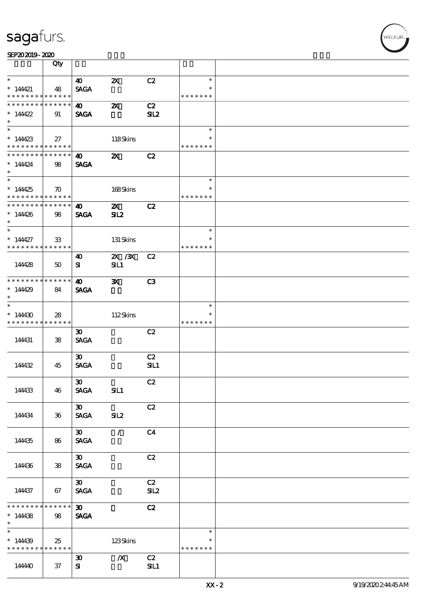|                                                                                        | Qty                |                             |                           |                 |               |  |
|----------------------------------------------------------------------------------------|--------------------|-----------------------------|---------------------------|-----------------|---------------|--|
| $\ast$                                                                                 |                    | 40                          | $\boldsymbol{\mathsf{Z}}$ | C2              | $\ast$        |  |
| $*14421$                                                                               | 48                 | <b>SAGA</b>                 |                           |                 | $\ast$        |  |
| * * * * * * * *                                                                        | * * * * * *        |                             |                           |                 | * * * * * * * |  |
| * * * * * * * *                                                                        | * * * * * *        | $\boldsymbol{40}$           | $\boldsymbol{\mathsf{z}}$ | C2              |               |  |
| * $14422$                                                                              | 91                 | <b>SAGA</b>                 |                           | SL <sub>2</sub> |               |  |
| $\ast$                                                                                 |                    |                             |                           |                 |               |  |
|                                                                                        |                    |                             |                           |                 | $\ast$        |  |
| $*144423$                                                                              | 27                 |                             | 118Skins                  |                 | $\ast$        |  |
| * * * * * * * * <mark>* * * * * *</mark>                                               |                    |                             |                           |                 | * * * * * * * |  |
| * * * * * * * * <mark>* * * * * * *</mark>                                             |                    | <b>40</b>                   | $\boldsymbol{\mathsf{z}}$ | C2              |               |  |
| $*14424$                                                                               | 98                 | <b>SAGA</b>                 |                           |                 |               |  |
| $\ast$                                                                                 |                    |                             |                           |                 |               |  |
| $\overline{\phantom{0}}$                                                               |                    |                             |                           |                 | $\ast$        |  |
| $*14425$                                                                               | $\boldsymbol{\pi}$ |                             | 168Skins                  |                 | $\ast$        |  |
| * * * * * * * * <mark>* * * * * *</mark><br>* * * * * * * * * * * * * * <mark>*</mark> |                    |                             |                           |                 | * * * * * * * |  |
|                                                                                        |                    | $\boldsymbol{\omega}$       | $\boldsymbol{\mathsf{X}}$ | C2              |               |  |
| $*144426$<br>$\ast$                                                                    | 98                 | <b>SAGA</b>                 | SL2                       |                 |               |  |
| $\ast$                                                                                 |                    |                             |                           |                 | $\ast$        |  |
| $*14427$                                                                               | 33                 |                             | 131 Skins                 |                 | $\ast$        |  |
| * * * * * * * * * * * * * * *                                                          |                    |                             |                           |                 | * * * * * * * |  |
|                                                                                        |                    | 40                          | 2X / 3X                   | C2              |               |  |
| 144428                                                                                 | 50                 | ${\bf s}$                   | SL1                       |                 |               |  |
|                                                                                        |                    |                             |                           |                 |               |  |
| * * * * * * * *                                                                        | ******             | 40                          | $\mathbf{x}$              | C3              |               |  |
| $*14429$                                                                               | 84                 | <b>SAGA</b>                 |                           |                 |               |  |
| $\ast$                                                                                 |                    |                             |                           |                 |               |  |
| $\ast$                                                                                 |                    |                             |                           |                 | $\ast$        |  |
| $*14430$                                                                               | 28                 |                             | 112Skins                  |                 | $\ast$        |  |
| * * * * * * * *                                                                        | ******             |                             |                           |                 | * * * * * * * |  |
|                                                                                        |                    | $\boldsymbol{\mathfrak{D}}$ |                           | C2              |               |  |
| 144431                                                                                 | 38                 | <b>SAGA</b>                 |                           |                 |               |  |
|                                                                                        |                    |                             |                           |                 |               |  |
|                                                                                        |                    | $\boldsymbol{\mathfrak{D}}$ |                           | C2              |               |  |
| 14432                                                                                  | 45                 | <b>SAGA</b>                 |                           | SL1             |               |  |
|                                                                                        |                    | $\boldsymbol{\mathfrak{D}}$ |                           | C2              |               |  |
| 144433                                                                                 | 46                 | <b>SAGA</b>                 | SIL1                      |                 |               |  |
|                                                                                        |                    |                             |                           |                 |               |  |
|                                                                                        |                    | $\boldsymbol{\mathfrak{D}}$ |                           | C2              |               |  |
| 144434                                                                                 | $36\,$             | <b>SAGA</b>                 | SL2                       |                 |               |  |
|                                                                                        |                    |                             |                           |                 |               |  |
|                                                                                        |                    | $\boldsymbol{\mathfrak{D}}$ | $\mathcal{L}$             | C <sub>4</sub>  |               |  |
| 144435                                                                                 | 86                 | <b>SAGA</b>                 |                           |                 |               |  |
|                                                                                        |                    |                             |                           |                 |               |  |
|                                                                                        |                    | $\boldsymbol{\mathfrak{D}}$ |                           | C2              |               |  |
| 144436                                                                                 | 38                 | <b>SAGA</b>                 |                           |                 |               |  |
|                                                                                        |                    |                             |                           |                 |               |  |
|                                                                                        |                    | $\boldsymbol{\mathfrak{D}}$ |                           | C2              |               |  |
| 144437                                                                                 | 67                 | $\pmb{\text{SAGA}}$         |                           | SL2             |               |  |
| * * * * * * * *                                                                        | $******$           | $\boldsymbol{\mathfrak{D}}$ |                           | C2              |               |  |
| $*14438$                                                                               | 98                 | <b>SAGA</b>                 |                           |                 |               |  |
| $\ast$                                                                                 |                    |                             |                           |                 |               |  |
| $\ast$                                                                                 |                    |                             |                           |                 | $\ast$        |  |
| $*14439$                                                                               | 25                 |                             | 123Skins                  |                 | $\ast$        |  |
| * * * * * * * *                                                                        | ******             |                             |                           |                 | * * * * * * * |  |
|                                                                                        |                    | $\boldsymbol{\mathfrak{D}}$ | $\boldsymbol{X}$          | C2              |               |  |
| 144440                                                                                 | 37                 | ${\bf s}$                   |                           | SL1             |               |  |
|                                                                                        |                    |                             |                           |                 |               |  |

 $\top$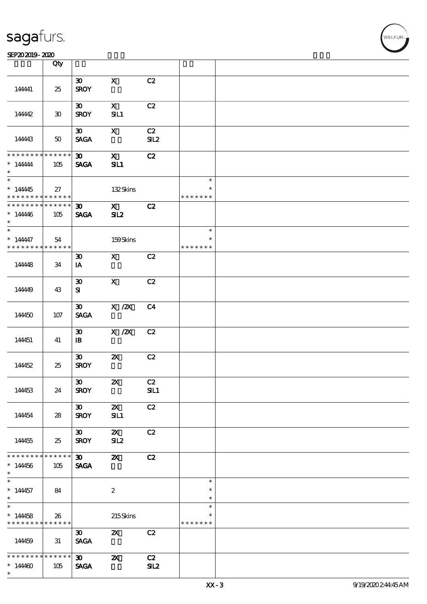#### $SEP202019 - 2020$

|                                                         | Qty                         |                                             |                                  |                |                                   |  |
|---------------------------------------------------------|-----------------------------|---------------------------------------------|----------------------------------|----------------|-----------------------------------|--|
| 144441                                                  | 25                          | $\boldsymbol{\mathfrak{B}}$<br><b>SROY</b>  | $\mathbf x$                      | C2             |                                   |  |
| 144442                                                  | $\boldsymbol{\mathfrak{D}}$ | $\boldsymbol{\mathfrak{D}}$<br><b>SROY</b>  | $\mathbf{x}$<br>SL1              | C2             |                                   |  |
| 144443                                                  | $50\,$                      | $\boldsymbol{\mathfrak{D}}$<br><b>SAGA</b>  | $\mathbf{x}$                     | C2<br>SL2      |                                   |  |
| * * * * * * * *<br>$*$ 144444<br>$\ast$                 | * * * * * *<br>105          | $\boldsymbol{\mathfrak{D}}$<br><b>SAGA</b>  | $\mathbf x$<br>SL1               | C2             |                                   |  |
| $*14445$<br>* * * * * * * *                             | 27<br>$* * * * * * *$       |                                             | 132Skins                         |                | $\ast$<br>$\ast$<br>* * * * * * * |  |
| * * * * * * * *<br>$* 14446$<br>$\ast$                  | $* * * * * * *$<br>105      | $\boldsymbol{\mathfrak{D}}$<br><b>SAGA</b>  | $\mathbf{x}$<br>SL2              | C2             |                                   |  |
| $\ast$<br>$* 144447$<br>* * * * * * * *                 | 54<br>* * * * * *           |                                             | 159Skins                         |                | $\ast$<br>$\ast$<br>* * * * * * * |  |
| 144448                                                  | 34                          | $\boldsymbol{\mathfrak{D}}$<br>IA           | $\mathbf{X}$                     | C2             |                                   |  |
| 14449                                                   | 43                          | $\boldsymbol{\mathfrak{D}}$<br>${\bf s}$    | $\mathbf{X}$                     | C2             |                                   |  |
| 144450                                                  | 107                         | $\boldsymbol{\mathfrak{D}}$<br><b>SAGA</b>  | $X \, /ZX$                       | C <sub>4</sub> |                                   |  |
| 144451                                                  | 41                          | $\boldsymbol{\mathfrak{D}}$<br>$\mathbf{B}$ | $X$ / $ZX$                       | C2             |                                   |  |
| 144452                                                  | 25                          | $\boldsymbol{\mathfrak{D}}$<br><b>SROY</b>  | $\boldsymbol{\mathsf{z}}$        | C2             |                                   |  |
| 144453                                                  | 24                          | 30<br><b>SROY</b>                           | $\boldsymbol{\mathsf{Z}}$        | C2<br>SL1      |                                   |  |
| 144454                                                  | 28                          | $\infty$<br><b>SROY</b>                     | $\boldsymbol{\alpha}$<br>SIL1    | C2             |                                   |  |
| 144455                                                  | 25                          | $\boldsymbol{\mathfrak{D}}$<br><b>SROY</b>  | $\boldsymbol{\mathsf{Z}}$<br>SL2 | C2             |                                   |  |
| * * * * * * *<br>$*14456$<br>$\ast$                     | * * * * * *  <br>105        | $\boldsymbol{\mathfrak{D}}$<br><b>SAGA</b>  | $\boldsymbol{\alpha}$            | C2             |                                   |  |
| $\ast$<br>$*14457$<br>$\ast$                            | 84                          |                                             | $\boldsymbol{2}$                 |                | $\ast$<br>$\ast$<br>$\ast$        |  |
| $\overline{\phantom{0}}$<br>$*14458$<br>* * * * * * * * | 26<br>* * * * * *           |                                             | 215Skins                         |                | $\ast$<br>$\ast$<br>* * * * * * * |  |
| 144459                                                  | 31                          | $\boldsymbol{\mathfrak{D}}$<br><b>SAGA</b>  | $\boldsymbol{\mathsf{Z}}$        | C2             |                                   |  |
| * * * * * * * *<br>$*14400$<br>$\ast$                   | * * * * * *<br>105          | $\boldsymbol{\infty}$<br><b>SAGA</b>        | $\boldsymbol{\mathsf{X}}$        | C2<br>SL2      |                                   |  |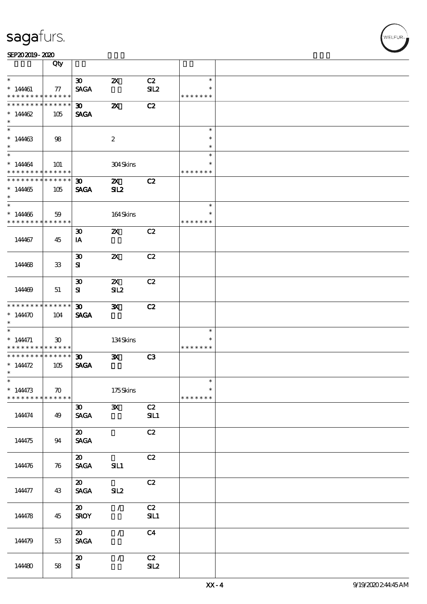|                                            | Qty                         |                                |                           |                |               |  |
|--------------------------------------------|-----------------------------|--------------------------------|---------------------------|----------------|---------------|--|
|                                            |                             |                                |                           |                |               |  |
| $\ast$                                     |                             | $\boldsymbol{\mathfrak{D}}$    | $\boldsymbol{\mathsf{Z}}$ | C2             | $\ast$        |  |
| $*14461$                                   | $77\,$                      | <b>SAGA</b>                    |                           | SL2            | $\ast$        |  |
|                                            |                             |                                |                           |                |               |  |
| * * * * * * * *                            | ******                      |                                |                           |                | * * * * * * * |  |
| * * * * * * * *                            | * * * * * *                 | $\boldsymbol{\mathfrak{D}}$    | $\boldsymbol{\mathsf{z}}$ | C2             |               |  |
|                                            |                             |                                |                           |                |               |  |
| * $14462$                                  | 105                         | <b>SAGA</b>                    |                           |                |               |  |
| $\ast$                                     |                             |                                |                           |                |               |  |
| $\overline{\phantom{0}}$                   |                             |                                |                           |                | $\ast$        |  |
|                                            |                             |                                |                           |                |               |  |
| $*14463$                                   | 98                          |                                | $\boldsymbol{2}$          |                | $\ast$        |  |
|                                            |                             |                                |                           |                |               |  |
| $\ast$                                     |                             |                                |                           |                | $\ast$        |  |
| $*$                                        |                             |                                |                           |                | $\ast$        |  |
|                                            |                             |                                |                           |                | $\ast$        |  |
| $* 14464$                                  | 101                         |                                | 304Skins                  |                |               |  |
| * * * * * * * *                            | $* * * * * * *$             |                                |                           |                | * * * * * * * |  |
| * * * * * * * * <mark>* * * * * * *</mark> |                             | $\boldsymbol{\mathfrak{D}}$    | $\mathbf{X}$              | C2             |               |  |
|                                            |                             |                                |                           |                |               |  |
| $*14465$                                   | 105                         | <b>SAGA</b>                    | SL2                       |                |               |  |
| $\ast$                                     |                             |                                |                           |                |               |  |
|                                            |                             |                                |                           |                |               |  |
|                                            |                             |                                |                           |                | $\ast$        |  |
| $*14406$                                   | 59                          |                                | 164Skins                  |                | $\ast$        |  |
|                                            |                             |                                |                           |                |               |  |
| * * * * * * * * * * * * * *                |                             |                                |                           |                | * * * * * * * |  |
|                                            |                             | $\boldsymbol{\mathfrak{D}}$    | $\boldsymbol{\mathsf{Z}}$ | C2             |               |  |
|                                            |                             |                                |                           |                |               |  |
| 144467                                     | 45                          | IA                             |                           |                |               |  |
|                                            |                             |                                |                           |                |               |  |
|                                            |                             |                                |                           |                |               |  |
|                                            |                             | $\boldsymbol{\mathfrak{D}}$    | $\boldsymbol{\mathsf{Z}}$ | C2             |               |  |
| 144468                                     | ${\bf 33}$                  | ${\bf s}$                      |                           |                |               |  |
|                                            |                             |                                |                           |                |               |  |
|                                            |                             |                                |                           |                |               |  |
|                                            |                             | $\boldsymbol{\mathfrak{D}}$    | $\boldsymbol{\alpha}$     | C2             |               |  |
|                                            |                             |                                |                           |                |               |  |
| 144469                                     | 51                          | ${\bf s}$                      | SL2                       |                |               |  |
|                                            |                             |                                |                           |                |               |  |
| * * * * * * * * * * * * * * *              |                             |                                |                           |                |               |  |
|                                            |                             | 30 <sub>2</sub>                | $\mathbf{x}$              | C2             |               |  |
| * $144470$                                 | 104                         | <b>SAGA</b>                    |                           |                |               |  |
| $\ast$                                     |                             |                                |                           |                |               |  |
|                                            |                             |                                |                           |                |               |  |
| $\ast$                                     |                             |                                |                           |                | $\ast$        |  |
| $* 144471$                                 | $\boldsymbol{\mathfrak{D}}$ |                                | 134Skins                  |                | $\ast$        |  |
|                                            |                             |                                |                           |                |               |  |
| * * * * * * * * * * * * * * *              |                             |                                |                           |                | * * * * * * * |  |
| * * * * * * * * * * * * * * <mark>*</mark> |                             | $\boldsymbol{\mathfrak{D}}$    | $\mathbf{x}$              | C3             |               |  |
|                                            |                             |                                |                           |                |               |  |
| * $14472$                                  | 105                         | <b>SAGA</b>                    |                           |                |               |  |
| $\ast$                                     |                             |                                |                           |                |               |  |
| $\ast$                                     |                             |                                |                           |                |               |  |
|                                            |                             |                                |                           |                |               |  |
| $* 144473$                                 | $\boldsymbol{\pi}$          |                                | 175Skins                  |                | $\ast$        |  |
| * * * * * * * *                            | * * * * * *                 |                                |                           |                | * * * * * * * |  |
|                                            |                             |                                |                           |                |               |  |
|                                            |                             | $\boldsymbol{\mathfrak{D}}$    | $\mathbf{x}$              | C2             |               |  |
| 144474                                     | 49                          | $\operatorname{\mathsf{SAGA}}$ |                           | SL1            |               |  |
|                                            |                             |                                |                           |                |               |  |
|                                            |                             |                                |                           |                |               |  |
|                                            |                             | $\boldsymbol{\mathfrak{D}}$    |                           | C2             |               |  |
|                                            |                             |                                |                           |                |               |  |
| 144475                                     | 94                          | $\ensuremath{\mathsf{SAGA}}$   |                           |                |               |  |
|                                            |                             |                                |                           |                |               |  |
|                                            |                             | $\boldsymbol{\mathfrak{D}}$    |                           | C2             |               |  |
|                                            |                             |                                |                           |                |               |  |
| 144476                                     | 76                          | <b>SAGA</b>                    | SL1                       |                |               |  |
|                                            |                             |                                |                           |                |               |  |
|                                            |                             |                                |                           |                |               |  |
|                                            |                             | $\boldsymbol{\mathfrak{D}}$    |                           | C2             |               |  |
| 144477                                     | 43                          | <b>SAGA</b>                    | SL2                       |                |               |  |
|                                            |                             |                                |                           |                |               |  |
|                                            |                             |                                |                           |                |               |  |
|                                            |                             | $\boldsymbol{\mathfrak{D}}$    | $\mathcal{L}$             | C2             |               |  |
|                                            |                             |                                |                           |                |               |  |
| 144478                                     | 45                          | <b>SROY</b>                    |                           | SL1            |               |  |
|                                            |                             |                                |                           |                |               |  |
|                                            |                             | $\boldsymbol{\mathfrak{D}}$    | $\mathcal{L}$             | C <sub>4</sub> |               |  |
|                                            |                             |                                |                           |                |               |  |
| 144479                                     | 53                          | <b>SAGA</b>                    |                           |                |               |  |
|                                            |                             |                                |                           |                |               |  |
|                                            |                             |                                |                           |                |               |  |
|                                            |                             | $\boldsymbol{\mathfrak{D}}$    | $\prime$                  | C2             |               |  |
| 144480                                     | 58                          | ${\bf s}$                      |                           | SL2            |               |  |
|                                            |                             |                                |                           |                |               |  |
|                                            |                             |                                |                           |                |               |  |
|                                            |                             |                                |                           |                |               |  |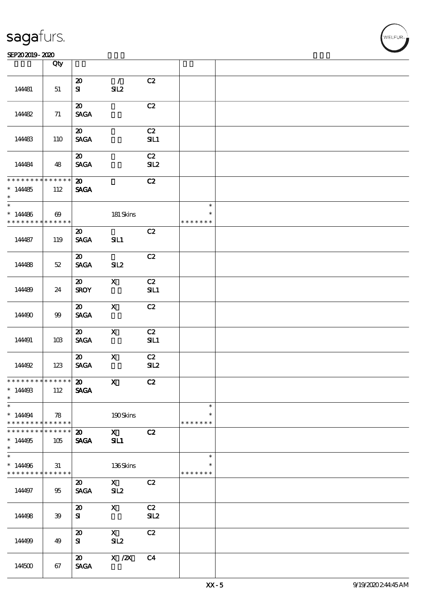|                                                                       | Qty                                  |                                                               |                                                                                                                                                                                                                                                                                                                                                                                                                                                                      |                |                                   |  |
|-----------------------------------------------------------------------|--------------------------------------|---------------------------------------------------------------|----------------------------------------------------------------------------------------------------------------------------------------------------------------------------------------------------------------------------------------------------------------------------------------------------------------------------------------------------------------------------------------------------------------------------------------------------------------------|----------------|-----------------------------------|--|
| 144481                                                                | 51                                   | $\boldsymbol{\mathfrak{D}}$<br>${\bf s}$                      | $\mathcal{L}$<br>SL2                                                                                                                                                                                                                                                                                                                                                                                                                                                 | C2             |                                   |  |
| 144482                                                                | 71                                   | $\boldsymbol{\mathfrak{D}}$<br><b>SAGA</b>                    |                                                                                                                                                                                                                                                                                                                                                                                                                                                                      | C2             |                                   |  |
| 144483                                                                | 110                                  | $\boldsymbol{\mathfrak{D}}$<br><b>SAGA</b>                    |                                                                                                                                                                                                                                                                                                                                                                                                                                                                      | C2<br>SL1      |                                   |  |
| 144484                                                                | 48                                   | $\boldsymbol{\mathfrak{D}}$<br><b>SACA</b>                    |                                                                                                                                                                                                                                                                                                                                                                                                                                                                      | C2<br>SL2      |                                   |  |
| * * * * * * * * * * * * * *<br>$*14485$<br>$\ast$                     | 112                                  | $\boldsymbol{\mathsf{20}}$<br><b>SAGA</b>                     |                                                                                                                                                                                                                                                                                                                                                                                                                                                                      | C2             |                                   |  |
| $\overline{\phantom{0}}$<br>$*14486$<br>* * * * * * * *               | $\boldsymbol{\omega}$<br>* * * * * * |                                                               | 181 Skins                                                                                                                                                                                                                                                                                                                                                                                                                                                            |                | $\ast$<br>$\ast$<br>* * * * * * * |  |
| 144487                                                                | 119                                  | $\boldsymbol{\mathfrak{D}}$<br><b>SAGA</b>                    | SL1                                                                                                                                                                                                                                                                                                                                                                                                                                                                  | C2             |                                   |  |
| 144488                                                                | 52                                   | $\boldsymbol{\mathfrak{D}}$<br><b>SAGA</b>                    | SL2                                                                                                                                                                                                                                                                                                                                                                                                                                                                  | C2             |                                   |  |
| 144489                                                                | 24                                   | $\boldsymbol{\mathfrak{D}}$<br><b>SROY</b>                    | $\mathbf{X}$                                                                                                                                                                                                                                                                                                                                                                                                                                                         | C2<br>SL1      |                                   |  |
| 144490                                                                | $99$                                 | $\boldsymbol{\mathfrak{D}}$<br><b>SAGA</b>                    | $\mathbf{x}$                                                                                                                                                                                                                                                                                                                                                                                                                                                         | C2             |                                   |  |
| 144491                                                                | 10B                                  | $\boldsymbol{\mathfrak{D}}$<br><b>SAGA</b>                    | $\mathbf{x}$                                                                                                                                                                                                                                                                                                                                                                                                                                                         | C2<br>SL1      |                                   |  |
| 144492                                                                | 123                                  | $\boldsymbol{\mathfrak{D}}$<br>$\operatorname{\mathsf{SAGA}}$ | $\mathbf X$                                                                                                                                                                                                                                                                                                                                                                                                                                                          | C2<br>SL2      |                                   |  |
| **************<br>$*1449B$<br>$\ast$                                  | 112                                  | $\boldsymbol{\omega}$<br><b>SAGA</b>                          | $\mathbf{x}$                                                                                                                                                                                                                                                                                                                                                                                                                                                         | C2             |                                   |  |
| $\overline{\phantom{a}}$<br>$*14494$<br>* * * * * * * * * * * * * * * | 78                                   |                                                               | $190\mbox{Skirs}$                                                                                                                                                                                                                                                                                                                                                                                                                                                    |                | $\ast$<br>$\ast$<br>* * * * * * * |  |
| * * * * * * * *<br>$*14495$<br>$\ast$                                 | $* * * * * * *$<br>105               | $\boldsymbol{\mathfrak{D}}$<br><b>SAGA</b>                    | $\boldsymbol{\mathrm{X}}$ and $\boldsymbol{\mathrm{X}}$ and $\boldsymbol{\mathrm{X}}$ and $\boldsymbol{\mathrm{X}}$ and $\boldsymbol{\mathrm{X}}$ and $\boldsymbol{\mathrm{X}}$ and $\boldsymbol{\mathrm{X}}$ and $\boldsymbol{\mathrm{X}}$ and $\boldsymbol{\mathrm{X}}$ and $\boldsymbol{\mathrm{X}}$ and $\boldsymbol{\mathrm{X}}$ and $\boldsymbol{\mathrm{X}}$ and $\boldsymbol{\mathrm{X}}$ and $\boldsymbol{\mathrm{X}}$ and $\boldsymbol{\mathrm{X}}$<br>SL1 | C2             |                                   |  |
| $\ast$<br>$*14496$<br>* * * * * * * * * * * * * *                     | 31                                   |                                                               | 136Skins                                                                                                                                                                                                                                                                                                                                                                                                                                                             |                | $\ast$<br>$\ast$<br>* * * * * * * |  |
| 144497                                                                | 95                                   | $\boldsymbol{\mathfrak{D}}$<br><b>SAGA</b>                    | $\mathbf X$<br>SL2                                                                                                                                                                                                                                                                                                                                                                                                                                                   | C2             |                                   |  |
| 144498                                                                | 39                                   | $\boldsymbol{\mathfrak{D}}$<br>${\bf s}$                      | $\mathbf{X}$                                                                                                                                                                                                                                                                                                                                                                                                                                                         | C2<br>SL2      |                                   |  |
| 144499                                                                | 49                                   | $\boldsymbol{\mathfrak{D}}$<br>S <sub>1</sub>                 | $\mathbf{X}$<br>SL2                                                                                                                                                                                                                                                                                                                                                                                                                                                  | C2             |                                   |  |
| 144500                                                                | 67                                   | $\boldsymbol{\mathsf{20}}$<br><b>SAGA</b>                     | $X$ / $ZX$                                                                                                                                                                                                                                                                                                                                                                                                                                                           | C <sub>4</sub> |                                   |  |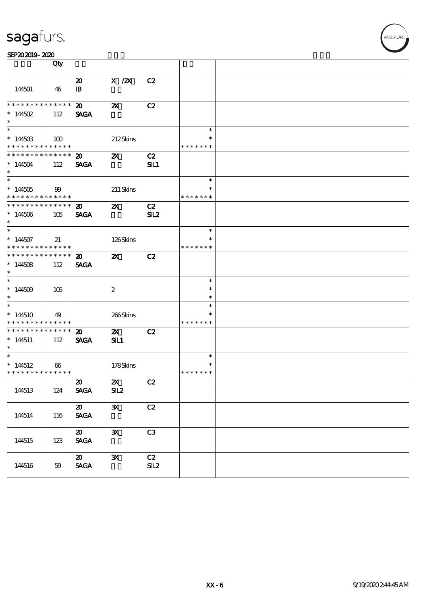#### SEP202019-2020

|                                                                 | Qty                    |                                                               |                                  |                       |                                   |  |
|-----------------------------------------------------------------|------------------------|---------------------------------------------------------------|----------------------------------|-----------------------|-----------------------------------|--|
| 144501                                                          | 46                     | $\boldsymbol{\mathfrak{D}}$<br>$\mathbf{B}$                   | $X$ / $ZX$                       | C2                    |                                   |  |
| * * * * * * * *<br>$* 14502$<br>$\ast$                          | $* * * * * * *$<br>112 | $\boldsymbol{\omega}$<br><b>SAGA</b>                          | $\boldsymbol{\mathsf{z}}$        | C2                    |                                   |  |
| $*14450B$<br>* * * * * * * * * * * * * *                        | 100                    |                                                               | 212Skins                         |                       | $\ast$<br>$\ast$<br>* * * * * * * |  |
| * * * * * * * * * * * * * *<br>$*144504$<br>$*$                 | 112                    | $\boldsymbol{\mathfrak{D}}$<br><b>SAGA</b>                    | $\boldsymbol{\mathsf{z}}$        | C2<br>SL1             |                                   |  |
| $*144505$<br>* * * * * * * * * * * * * * *                      | 99                     |                                                               | 211 Skins                        |                       | $\ast$<br>$\ast$<br>* * * * * * * |  |
| ___<br>******** <mark>******</mark><br>$*144506$<br>$\ast$      | 105                    | $\boldsymbol{\omega}$<br><b>SAGA</b>                          | $\boldsymbol{\mathsf{Z}}$        | C2<br>SL <sub>2</sub> |                                   |  |
| $*144507$<br>* * * * * * * * <mark>* * * * * * *</mark>         | 21                     |                                                               | 126Skins                         |                       | $\ast$<br>$\ast$<br>* * * * * * * |  |
| * * * * * * * * * * * * * * *<br>$*144508$<br>$\ast$            | 112                    | $\boldsymbol{\mathfrak{D}}$<br><b>SAGA</b>                    | $\boldsymbol{\mathsf{Z}}$        | C2                    |                                   |  |
| $*14509$<br>$\ast$                                              | 105                    |                                                               | $\boldsymbol{2}$                 |                       | $\ast$<br>$\ast$<br>$\ast$        |  |
| $*$<br>$*144510$<br>* * * * * * * *                             | 49<br>* * * * * *      |                                                               | 266Skins                         |                       | $\ast$<br>$\ast$<br>* * * * * * * |  |
| * * * * * * * *<br>$*144511$<br>$*$                             | ******<br>112          | $\boldsymbol{\mathfrak{D}}$<br><b>SAGA</b>                    | $\boldsymbol{\mathsf{X}}$<br>SL1 | C2                    |                                   |  |
| $\ast$<br>$*144512$<br>* * * * * * * * <mark>* * * * * *</mark> | $\boldsymbol{\omega}$  |                                                               | 178Skins                         |                       | $\ast$<br>$\ast$<br>* * * * * * * |  |
| 144513                                                          | 124                    | $\boldsymbol{\omega}$<br><b>SAGA</b>                          | $\mathbf{z}$<br>SL2              | C2                    |                                   |  |
| 144514                                                          | 116                    | $\boldsymbol{\mathfrak{D}}$<br>$\operatorname{\mathsf{SAGA}}$ | $\mathbf{x}$                     | C2                    |                                   |  |
| 144515                                                          | 123                    | $\boldsymbol{\mathfrak{D}}$<br>$\operatorname{\mathsf{SAGA}}$ | $\mathbf{x}$                     | C3                    |                                   |  |
| 144516                                                          | 59                     | $\boldsymbol{\mathfrak{D}}$<br>$\ensuremath{\mathsf{SAGA}}$   | $\mathbf{x}$                     | C2<br>SL2             |                                   |  |

**VELFUR**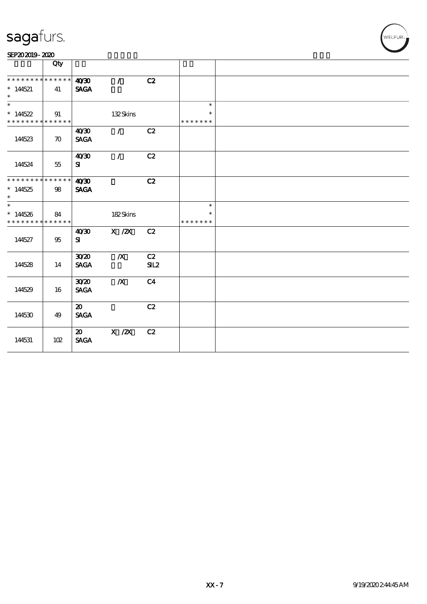| SEP202019-2020 |  |  |  |
|----------------|--|--|--|
|                |  |  |  |

|                                                              | Qty                |                                            |                  |                |                                   |  |
|--------------------------------------------------------------|--------------------|--------------------------------------------|------------------|----------------|-----------------------------------|--|
| * * * * * * * * * * * * * *<br>$*14521$<br>$\ast$            | 41                 | 40'30<br><b>SAGA</b>                       | $\bar{I}$        | C2             |                                   |  |
| $\overline{\ast}$<br>$*14522$<br>* * * * * * * * * * * * * * | 91                 |                                            | 132Skins         |                | $\ast$<br>$\ast$<br>* * * * * * * |  |
| 144523                                                       | $\boldsymbol{\pi}$ | 40'30<br><b>SAGA</b>                       | $\mathcal{L}$    | C2             |                                   |  |
| 144524                                                       | 55                 | 40'30<br>${\bf s}$                         | $\mathcal{L}$    | C2             |                                   |  |
| ******** <mark>*******</mark><br>$*144525$<br>$\ast$         | $98\,$             | 40'30<br><b>SAGA</b>                       |                  | C2             |                                   |  |
| $\ast$<br>$*144526$<br>* * * * * * * * * * * * * *           | 84                 |                                            | 182Skins         |                | $\ast$<br>* * * * * * *           |  |
| 144527                                                       | $95\,$             | 40'30<br>${\bf s}$                         | $X$ / $ZX$       | C2             |                                   |  |
| 144528                                                       | 14                 | 3020<br><b>SAGA</b>                        | $\boldsymbol{X}$ | C2<br>SL2      |                                   |  |
| 144529                                                       | 16                 | 3020<br><b>SAGA</b>                        | $\boldsymbol{X}$ | C <sub>4</sub> |                                   |  |
| 144530                                                       | 49                 | $\boldsymbol{\mathfrak{D}}$<br><b>SAGA</b> |                  | C2             |                                   |  |
| 144531                                                       | 102                | $\boldsymbol{\mathfrak{D}}$<br><b>SAGA</b> | $X$ / $ZX$       | C2             |                                   |  |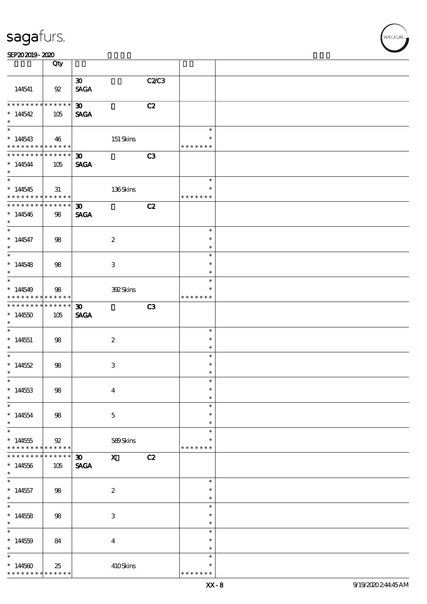|                                                                                    | Qty                    |                                            |                           |                |                                      |  |
|------------------------------------------------------------------------------------|------------------------|--------------------------------------------|---------------------------|----------------|--------------------------------------|--|
| 144541                                                                             | 92                     | $\boldsymbol{\mathfrak{D}}$<br><b>SAGA</b> |                           | C2/C3          |                                      |  |
| * * * * * * * * * * * * * * *<br>$*14542$<br>$\ast$                                | 105                    | $\boldsymbol{\mathfrak{D}}$<br><b>SAGA</b> |                           | C2             |                                      |  |
| $*14543$<br>* * * * * * * * * * * * * * *                                          | 46                     |                                            | 151 Skins                 |                | $\ast$<br>$\ast$<br>* * * * * * *    |  |
| * * * * * * * * * * * * * * *<br>$*144544$<br>$\ast$                               | 105                    | $\boldsymbol{\mathfrak{D}}$<br><b>SAGA</b> |                           | C3             |                                      |  |
| $*14545$<br>* * * * * * * * <mark>* * * * * * *</mark>                             | 31                     |                                            | 136Skins                  |                | $\ast$<br>$\ast$<br>* * * * * * *    |  |
| * * * * * * * * * * * * * * *<br>$*144546$<br>$\ast$                               | 98                     | $\boldsymbol{\mathfrak{D}}$<br><b>SAGA</b> |                           | C2             |                                      |  |
| $\overline{\phantom{0}}$<br>$* 144547$<br>$\ast$                                   | 98                     |                                            | $\boldsymbol{2}$          |                | $\ast$<br>$\ast$<br>$\ast$           |  |
| $\overline{\phantom{0}}$<br>$*14548$<br>$\ast$                                     | 98                     |                                            | 3                         |                | $\ast$<br>$\ast$<br>$\ast$           |  |
| $\overline{\phantom{0}}$<br>$*14549$<br>* * * * * * * * <mark>* * * * * * *</mark> | 98                     |                                            | 392Skins                  |                | $\ast$<br>$\ast$<br>* * * * * * *    |  |
| * * * * * * * * <mark>*</mark><br>$*144550$<br>$\ast$                              | $* * * * * * *$<br>105 | $\boldsymbol{\mathfrak{D}}$<br><b>SAGA</b> |                           | C <sub>3</sub> |                                      |  |
| $\ast$<br>$*144551$<br>$\ast$                                                      | 98                     |                                            | $\boldsymbol{2}$          |                | $\ast$<br>$\ast$<br>$\ast$           |  |
| $\overline{\phantom{0}}$<br>* $14552$<br>$\ast$                                    | 98                     |                                            | $\ensuremath{\mathbf{3}}$ |                | $\ast$<br>$\ast$<br>$\ast$           |  |
| $*144533$<br>$\ast$                                                                | $98\,$                 |                                            | $\boldsymbol{4}$          |                | $\ast$<br>$\ast$<br>$\ast$           |  |
| $*144554$<br>$\ast$                                                                | 98                     |                                            | $\mathbf{5}$              |                | $\ast$<br>$\ast$<br>$\ast$           |  |
| $*144555$<br>* * * * * * * *                                                       | 92<br>* * * * * *      |                                            | 589Skins                  |                | $\ast$<br>$\ast$<br>* * * * * * *    |  |
| * * * * * * *<br>$*144556$<br>$\ast$                                               | * * * * * *<br>$105$   | $\boldsymbol{\mathfrak{D}}$<br><b>SAGA</b> | $\mathbf{X}$              | C2             |                                      |  |
| $\ast$<br>$*144557$<br>$\ast$<br>$\overline{\phantom{0}}$                          | 98                     |                                            | $\boldsymbol{2}$          |                | $\ast$<br>$\ast$<br>$\ast$           |  |
| $*144558$<br>$\ast$<br>$\overline{\ast}$                                           | 98                     |                                            | $\ensuremath{\mathbf{3}}$ |                | $\ast$<br>$\ast$<br>$\ast$           |  |
| $*14559$<br>$\ast$<br>$\ast$                                                       | 84                     |                                            | $\boldsymbol{4}$          |                | $\ast$<br>$\ast$<br>$\ast$<br>$\ast$ |  |
| $*14560$<br>* * * * * * * *                                                        | 25<br>* * * * * *      |                                            | 410Skins                  |                | $\ast$<br>* * * * * * *              |  |

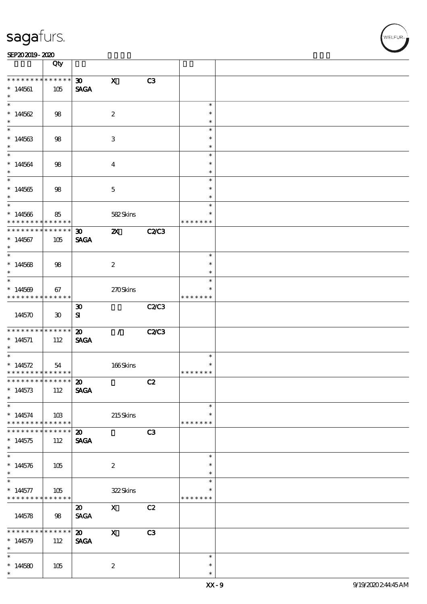#### SEP202019-2020

|                                            | Qty                         |                                            |                           |              |                         |  |
|--------------------------------------------|-----------------------------|--------------------------------------------|---------------------------|--------------|-------------------------|--|
| * * * * * * * *                            | $******$                    |                                            |                           |              |                         |  |
| $*144561$<br>$\ast$                        | 105                         | $\boldsymbol{\mathfrak{D}}$<br><b>SAGA</b> | $\mathbf{x}$              | C3           |                         |  |
| $\ast$                                     |                             |                                            |                           |              |                         |  |
| $*14562$                                   | 98                          |                                            | $\boldsymbol{2}$          |              | $\ast$<br>$\ast$        |  |
| $\ast$                                     |                             |                                            |                           |              | $\ast$                  |  |
| $\ast$                                     |                             |                                            |                           |              | $\ast$                  |  |
| $*144563$                                  | 98                          |                                            | $\ensuremath{\mathbf{3}}$ |              | $\ast$<br>$\ast$        |  |
| $\ast$                                     |                             |                                            |                           |              | $\ast$                  |  |
| $* 144564$<br>$\ast$                       | 98                          |                                            | $\boldsymbol{4}$          |              | $\ast$<br>$\ast$        |  |
|                                            |                             |                                            |                           |              | $\ast$                  |  |
| $*144565$                                  | 98                          |                                            | $\mathbf 5$               |              | $\ast$                  |  |
| $\ast$                                     |                             |                                            |                           |              | $\ast$                  |  |
| $*$                                        |                             |                                            |                           |              | $\ast$                  |  |
| $*14566$<br>* * * * * * * *                | 85<br>* * * * * *           |                                            | 582Skins                  |              | $\ast$<br>* * * * * * * |  |
| * * * * * * * *                            | $* * * * * * *$             | $\boldsymbol{\mathfrak{D}}$                | $\boldsymbol{\mathsf{z}}$ | <b>C2/C3</b> |                         |  |
| $*144567$<br>$\ast$                        | 105                         | <b>SAGA</b>                                |                           |              |                         |  |
|                                            |                             |                                            |                           |              | $\ast$                  |  |
|                                            |                             |                                            |                           |              | $\ast$                  |  |
| $*144568$<br>$\ast$                        | 98                          |                                            | $\boldsymbol{2}$          |              | $\ast$                  |  |
| $\ast$                                     |                             |                                            |                           |              | $\ast$                  |  |
| $*14569$                                   | 67                          |                                            | 270Skins                  |              | $\ast$                  |  |
| * * * * * * * *                            | * * * * * *                 |                                            |                           |              | * * * * * * *           |  |
|                                            |                             | $\boldsymbol{\mathfrak{D}}$                |                           | C2/C3        |                         |  |
| 144570                                     | $\boldsymbol{\mathfrak{D}}$ | ${\bf s}$                                  |                           |              |                         |  |
| * * * * * * * * * * * * * * *              |                             | $\boldsymbol{\mathfrak{D}}$                | $\mathcal{L}$             | <b>C2/C3</b> |                         |  |
| $*144571$                                  | 112                         | <b>SAGA</b>                                |                           |              |                         |  |
| $\ast$                                     |                             |                                            |                           |              |                         |  |
| $\ast$                                     |                             |                                            |                           |              | $\ast$                  |  |
| $* 14572$                                  | 54                          |                                            | $166$ Skins               |              | $\ast$                  |  |
| * * * * * * * * <mark>* * * * * * *</mark> |                             |                                            |                           |              | * * * * * * *           |  |
| ****************** 20                      |                             |                                            |                           | C2           |                         |  |
| $*14573$                                   | 112                         | <b>SAGA</b>                                |                           |              |                         |  |
| $\ast$<br>$\ast$                           |                             |                                            |                           |              | $\ast$                  |  |
|                                            |                             |                                            |                           |              | $\ast$                  |  |
| $*144574$<br>* * * * * * * *               | 10B<br>$******$             |                                            | $215$ Skins               |              | * * * * * * *           |  |
| * * * * * * * *                            | $******$                    | $\boldsymbol{\mathfrak{D}}$                |                           | C3           |                         |  |
| $*144575$<br>$\ast$                        | 112                         | <b>SAGA</b>                                |                           |              |                         |  |
| $\overline{\ast}$                          |                             |                                            |                           |              | $\ast$                  |  |
| $*144576$                                  | 105                         |                                            | $\boldsymbol{2}$          |              | $\ast$                  |  |
| $\ast$                                     |                             |                                            |                           |              | $\ast$                  |  |
|                                            |                             |                                            |                           |              | $\ast$                  |  |
| $* 144577$                                 | 105                         |                                            | 322Skins                  |              | $\ast$                  |  |
| * * * * * * * *                            | * * * * * * *               |                                            |                           |              | * * * * * * *           |  |
|                                            |                             | $\boldsymbol{\mathfrak{D}}$                | $\mathbf{x}$              | C2           |                         |  |
| 144578                                     | 98                          | <b>SAGA</b>                                |                           |              |                         |  |
|                                            |                             |                                            |                           |              |                         |  |
| * * * * * * * *                            | * * * * * *                 | $\boldsymbol{\mathfrak{D}}$                | $\mathbf{x}$              | C3           |                         |  |
| $*14579$                                   | 112                         | <b>SAGA</b>                                |                           |              |                         |  |
| $\ast$                                     |                             |                                            |                           |              |                         |  |
| $\ast$                                     |                             |                                            |                           |              | $\ast$                  |  |
| $*14580$                                   | 105                         |                                            | $\boldsymbol{z}$          |              | $\ast$                  |  |
| $\ast$                                     |                             |                                            |                           |              | $\ast$                  |  |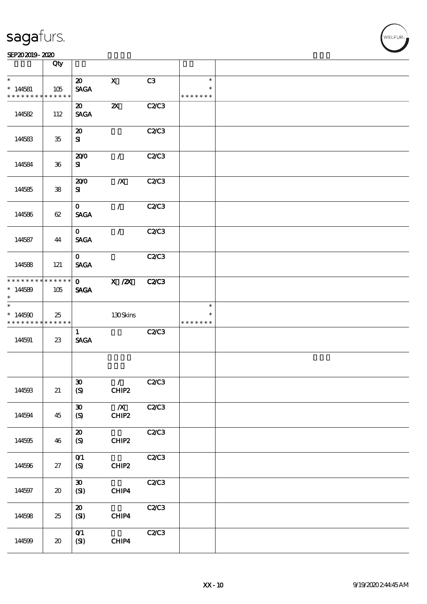|                                        | Qty                         |                                             |                           |              |                                   |  |
|----------------------------------------|-----------------------------|---------------------------------------------|---------------------------|--------------|-----------------------------------|--|
| $\ast$<br>$*144581$<br>* * * * * * * * | 105<br>* * * * * *          | $\boldsymbol{\mathfrak{D}}$<br><b>SAGA</b>  | $\mathbf x$               | C3           | $\ast$<br>$\ast$<br>* * * * * * * |  |
| 144582                                 | 112                         | $\boldsymbol{\mathfrak{D}}$<br><b>SAGA</b>  | $\boldsymbol{\mathsf{X}}$ | C2/C3        |                                   |  |
| 144583                                 | $35\,$                      | $\boldsymbol{\mathsf{20}}$<br>${\bf s}$     |                           | C2C3         |                                   |  |
| 144584                                 | $36\,$                      | 200<br>${\bf s}$                            | $\mathcal{L}$             | <b>C2/C3</b> |                                   |  |
| 144585                                 | ${\bf 38}$                  | 200<br>${\bf s}$                            | $\boldsymbol{X}$          | <b>C2/C3</b> |                                   |  |
| 144586                                 | 62                          | $\mathbf{O}$<br><b>SAGA</b>                 | $\mathcal{L}$             | C2C3         |                                   |  |
| 144587                                 | 44                          | $\mathbf{O}$<br><b>SAGA</b>                 | $\mathcal{L}$             | <b>C2/C3</b> |                                   |  |
| 144588                                 | 121                         | $\mathbf{O}$<br><b>SAGA</b>                 |                           | <b>C2/C3</b> |                                   |  |
| * * * * * * * *<br>$*14589$<br>$\ast$  | ******<br>105               | $\mathbf{O}$<br><b>SAGA</b>                 | $X$ / $ZX$                | <b>C2/C3</b> |                                   |  |
| $\ast$                                 |                             |                                             |                           |              | $\ast$                            |  |
| $*144590$<br>* * * * * * * *           | 25<br>******                |                                             | 130Skins                  |              | $\ast$<br>* * * * * * *           |  |
| 144591                                 | 23                          | $\mathbf{1}$<br><b>SAGA</b>                 |                           | <b>C2/C3</b> |                                   |  |
|                                        |                             |                                             |                           |              |                                   |  |
| 144593                                 | 21                          | $\boldsymbol{\mathfrak{D}}$<br>(S)          | $\mathcal{L}$<br>CHIP2    | <b>C2/C3</b> |                                   |  |
| 144594                                 | 45                          | $\boldsymbol{\mathfrak{D}}$<br>(S)          | $\overline{X}$<br>CHIP2   | C2C3         |                                   |  |
| 144595                                 | 46                          | ${\bf Z}$<br>(S)                            | CHIP2                     | C2/C3        |                                   |  |
| 144596                                 | 27                          | O(1)<br>(S)                                 | CHIP2                     | C2C3         |                                   |  |
| 144597                                 | $\boldsymbol{\mathfrak{D}}$ | $\boldsymbol{\mathfrak{D}}$<br>(SI)         | CHIP4                     | C2C3         |                                   |  |
| 144598                                 | 25                          | $\boldsymbol{\mathfrak{D}}$<br>(SI)<br>O(1) | CHIP4                     | C2C3<br>C2C3 |                                   |  |

WELFUR<sub>"</sub>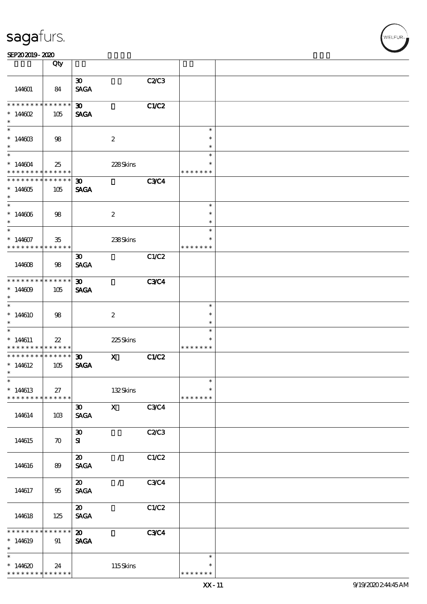|                                          | Qty                |                             |                  |              |               |  |
|------------------------------------------|--------------------|-----------------------------|------------------|--------------|---------------|--|
|                                          |                    |                             |                  |              |               |  |
|                                          |                    | $\boldsymbol{\mathfrak{D}}$ |                  | <b>C2/C3</b> |               |  |
| 144601                                   | - 84               | <b>SAGA</b>                 |                  |              |               |  |
|                                          |                    |                             |                  |              |               |  |
| * * * * * * * *                          | * * * * * *        | $\boldsymbol{\mathfrak{D}}$ |                  | C1/C2        |               |  |
| $* 14602$                                | 105                | <b>SAGA</b>                 |                  |              |               |  |
| $\ast$                                   |                    |                             |                  |              |               |  |
| $\ast$                                   |                    |                             |                  |              | $\ast$        |  |
| $*14460B$                                | 98                 |                             | $\boldsymbol{2}$ |              | $\ast$        |  |
| $\ast$                                   |                    |                             |                  |              | $\ast$        |  |
| $\ast$                                   |                    |                             |                  |              | $\ast$        |  |
|                                          |                    |                             |                  |              |               |  |
| $*144604$                                | 25                 |                             | 228Skins         |              | $\ast$        |  |
| * * * * * * * * * * * * * * *            |                    |                             |                  |              | * * * * * * * |  |
| * * * * * * * * * * * * * *              |                    | $\boldsymbol{\mathfrak{D}}$ |                  | <b>C3C4</b>  |               |  |
| $*144605$                                | 105                | <b>SAGA</b>                 |                  |              |               |  |
| $\ast$                                   |                    |                             |                  |              |               |  |
| $\ast$                                   |                    |                             |                  |              | $\ast$        |  |
| $*14606$                                 | 98                 |                             | $\boldsymbol{2}$ |              | $\ast$        |  |
| $\ast$                                   |                    |                             |                  |              | $\ast$        |  |
| $\overline{\phantom{a}^*}$               |                    |                             |                  |              | $\ast$        |  |
| $*14607$                                 | 35                 |                             | 238Skins         |              | $\ast$        |  |
| * * * * * * * * * * * * * *              |                    |                             |                  |              | * * * * * * * |  |
|                                          |                    |                             |                  |              |               |  |
|                                          |                    | $\boldsymbol{\mathfrak{D}}$ |                  | C1/C2        |               |  |
| 144608                                   | 98                 | <b>SAGA</b>                 |                  |              |               |  |
|                                          |                    |                             |                  |              |               |  |
| **************                           |                    | 30 <sub>o</sub>             |                  | <b>C3C4</b>  |               |  |
| $*14609$                                 | 105                | <b>SAGA</b>                 |                  |              |               |  |
| $\ast$                                   |                    |                             |                  |              |               |  |
| $\ast$                                   |                    |                             |                  |              | $\ast$        |  |
| $*14610$                                 | 98                 |                             | $\boldsymbol{2}$ |              | $\ast$        |  |
| $\ast$                                   |                    |                             |                  |              | $\ast$        |  |
| $\ast$                                   |                    |                             |                  |              | $\ast$        |  |
|                                          |                    |                             |                  |              | $\ast$        |  |
| $*144611$                                | $22\,$             |                             | 225Skins         |              |               |  |
| * * * * * * * * <mark>* * * * * *</mark> |                    |                             |                  |              | * * * * * * * |  |
| * * * * * * * * * * * * * *              |                    | $\boldsymbol{\mathfrak{D}}$ | $\mathbf x$      | C1/C2        |               |  |
| $*14612$                                 | 105                | <b>SAGA</b>                 |                  |              |               |  |
| $\ast$                                   |                    |                             |                  |              |               |  |
| ∗                                        |                    |                             |                  |              |               |  |
| $*14613$                                 | 27                 |                             | 132Skins         |              | $\ast$        |  |
| * * * * * * * * * * * * * *              |                    |                             |                  |              | * * * * * * * |  |
|                                          |                    | $\boldsymbol{\mathfrak{D}}$ | $\mathbf{X}$     | C3C4         |               |  |
| 144614                                   | 10B                | <b>SAGA</b>                 |                  |              |               |  |
|                                          |                    |                             |                  |              |               |  |
|                                          |                    |                             |                  |              |               |  |
|                                          |                    | $\boldsymbol{\mathfrak{D}}$ |                  | C2/C3        |               |  |
| 144615                                   | $\boldsymbol{\pi}$ | ${\bf s}$                   |                  |              |               |  |
|                                          |                    |                             |                  |              |               |  |
|                                          |                    | $\boldsymbol{\mathfrak{D}}$ | $\mathcal{L}$    | C1/C2        |               |  |
| 144616                                   | 89                 | <b>SAGA</b>                 |                  |              |               |  |
|                                          |                    |                             |                  |              |               |  |
|                                          |                    | $\boldsymbol{\mathfrak{D}}$ | $\mathcal{L}$    | C3C4         |               |  |
| 144617                                   | 95                 | <b>SAGA</b>                 |                  |              |               |  |
|                                          |                    |                             |                  |              |               |  |
|                                          |                    | $\boldsymbol{\mathfrak{D}}$ |                  | C1/C2        |               |  |
|                                          |                    |                             |                  |              |               |  |
| 144618                                   | 125                | <b>SAGA</b>                 |                  |              |               |  |
|                                          |                    |                             |                  |              |               |  |
| * * * * * * * * * * * * * *              |                    | $\boldsymbol{\mathfrak{D}}$ |                  | <b>C3C4</b>  |               |  |
| $*14619$                                 | 91                 | <b>SAGA</b>                 |                  |              |               |  |
| $\ast$                                   |                    |                             |                  |              |               |  |
| $\ast$                                   |                    |                             |                  |              | $\ast$        |  |
| $*14620$                                 | 24                 |                             | 115Skins         |              | $\ast$        |  |
| * * * * * * * * * * * * * *              |                    |                             |                  |              | * * * * * * * |  |

**NELFUR**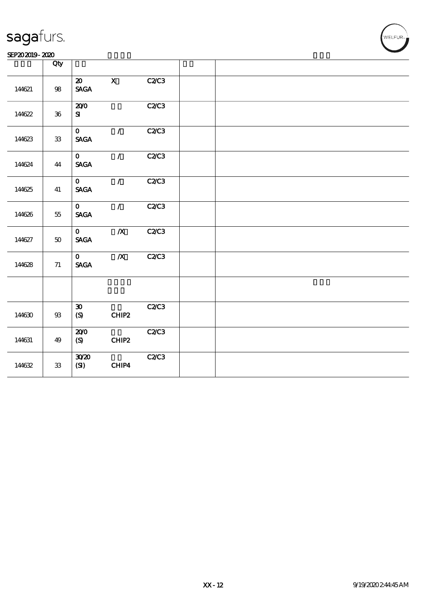| SEP202019-2020 |  |
|----------------|--|
|----------------|--|

|        | Qty                                                                                                     |                                            |                  |       |  |
|--------|---------------------------------------------------------------------------------------------------------|--------------------------------------------|------------------|-------|--|
| 144621 | ${\bf 98}$                                                                                              | $\boldsymbol{\mathfrak{D}}$<br><b>SAGA</b> | $\mathbf X$      | C2C3  |  |
| 14622  | ${\bf 36}$                                                                                              | 200<br>$\mathbf{S}$                        |                  | C2C3  |  |
| 14623  | ${\bf 33}$                                                                                              | $\mathbf{O}$<br><b>SAGA</b>                | $\mathcal{L}$    | C2C3  |  |
| 144624 | 44                                                                                                      | $\mathbf{O}$<br><b>SAGA</b>                | $\mathcal{L}$    | C2/C3 |  |
| 14625  | 41                                                                                                      | $\mathbf{O}$<br><b>SAGA</b>                | $\mathcal{F}$    | C2/C3 |  |
| 144626 | $55\,$                                                                                                  | $\mathbf{O}$<br><b>SAGA</b>                | $\mathcal{F}$    | C2C3  |  |
| 144627 | $50\,$                                                                                                  | $\mathbf{O}$<br><b>SACA</b>                | $\boldsymbol{X}$ | C2C3  |  |
| 14628  | $71\,$                                                                                                  | $\mathbf{O}$<br><b>SAGA</b>                | $\boldsymbol{X}$ | C2/C3 |  |
|        |                                                                                                         |                                            |                  |       |  |
| 144630 | $\mathfrak{B}% _{T}=\mathfrak{B}_{T}\!\left( a,b\right) ,\ \mathfrak{B}_{T}=C_{T}\!\left( a,b\right) ,$ | $\boldsymbol{\mathfrak{D}}$<br>(S)         | CHIP2            | C2C3  |  |
| 144631 | 49                                                                                                      | 200<br>(S)                                 | CHIP2            | C2C3  |  |
| 144632 | ${\bf 33}$                                                                                              | 3020<br>(SI)                               | CHIP4            | C2C3  |  |

WELFUR-<br>WELFUR-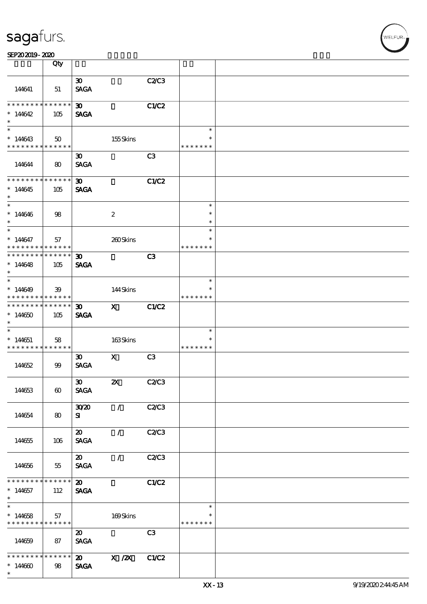|                                                                                  | Qty                    |                                            |                  |                |                                   |  |
|----------------------------------------------------------------------------------|------------------------|--------------------------------------------|------------------|----------------|-----------------------------------|--|
| 144641                                                                           | 51                     | $\boldsymbol{\mathfrak{D}}$<br><b>SAGA</b> |                  | C2C3           |                                   |  |
| * * * * * * * *<br>$*14642$<br>$\ast$                                            | $* * * * * * *$<br>105 | 30 <sub>1</sub><br><b>SAGA</b>             |                  | C1/C2          |                                   |  |
| $*14643$<br>* * * * * * * * <mark>* * * * * *</mark>                             | 50                     |                                            | 155Skins         |                | $\ast$<br>$\ast$<br>* * * * * * * |  |
| 144644                                                                           | $\bf{8}$               | $\boldsymbol{\mathfrak{D}}$<br><b>SAGA</b> |                  | C3             |                                   |  |
| ********<br>$*14645$<br>$\ast$                                                   | ******<br>105          | $\boldsymbol{\mathfrak{D}}$<br><b>SAGA</b> |                  | <b>C1/C2</b>   |                                   |  |
| $\ast$<br>$*14646$<br>$\ast$                                                     | 98                     |                                            | $\boldsymbol{2}$ |                | $\ast$<br>$\ast$<br>$\ast$        |  |
| $\overline{\phantom{0}}$<br>$*14647$<br>* * * * * * * * <mark>* * * * * *</mark> | 57                     |                                            | 260Skins         |                | $\ast$<br>$\ast$<br>* * * * * * * |  |
| * * * * * * * * <mark>* * * * * * *</mark><br>$*14648$<br>$\ast$                 | 105                    | $\boldsymbol{\mathfrak{D}}$<br><b>SAGA</b> |                  | C3             |                                   |  |
| $\overline{\phantom{0}}$<br>$*14649$<br>* * * * * * * * <mark>* * * * * *</mark> | 39                     |                                            | 144Skins         |                | $\ast$<br>* * * * * * *           |  |
| * * * * * * * *<br>$*144650$<br>$\ast$                                           | $* * * * * * *$<br>105 | $\boldsymbol{\mathfrak{D}}$<br><b>SAGA</b> | $\mathbf x$      | C1/C2          |                                   |  |
| $\ast$<br>$*144651$<br>* * * * * * * * <mark>* * * * * *</mark>                  | 58                     |                                            | 163Skins         |                | $\ast$<br>$\ast$<br>* * * * * * * |  |
| 144652                                                                           | 99                     | $\boldsymbol{\mathfrak{D}}$<br><b>SAGA</b> | $\mathbf{x}$     | C <sub>3</sub> |                                   |  |
| 144653                                                                           | $\boldsymbol{\omega}$  | $\infty$<br><b>SAGA</b>                    | $\mathbf{Z}$     | C2/C3          |                                   |  |
| 144654                                                                           | 80                     | 3020<br>${\bf s}$                          | $\mathcal{L}$    | C2C3           |                                   |  |
| 144655                                                                           | 106                    | $\boldsymbol{\mathfrak{D}}$<br><b>SAGA</b> | $\sqrt{2}$       | C2C3           |                                   |  |
| 144656                                                                           | 55                     | $\boldsymbol{\mathfrak{D}}$<br><b>SAGA</b> | $\mathcal{L}$    | C2C3           |                                   |  |
| * * * * * * * *<br>$*144657$<br>$\ast$                                           | $* * * * * * *$<br>112 | $\boldsymbol{\omega}$<br><b>SAGA</b>       |                  | C1/C2          |                                   |  |
| $\overline{\phantom{0}}$<br>$*14658$<br>* * * * * * * * <mark>* * * * * *</mark> | 57                     |                                            | 169Skins         |                | $\ast$<br>$\ast$<br>* * * * * * * |  |
| 144659                                                                           | 87                     | $\boldsymbol{\mathfrak{D}}$<br><b>SAGA</b> |                  | C3             |                                   |  |
| * * * * * * * *<br>$*14600$<br>$\ast$                                            | $* * * * * * *$<br>98  | $\boldsymbol{\mathsf{20}}$<br><b>SAGA</b>  | $X$ / $ZX$       | C1/C2          |                                   |  |

ELFUR<sub>1</sub>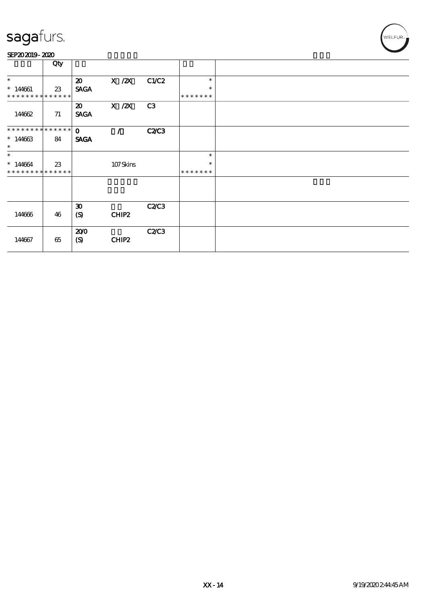#### SEP202019-2020

|                                                     | Qty    |                                            |                   |              |                                   |  |
|-----------------------------------------------------|--------|--------------------------------------------|-------------------|--------------|-----------------------------------|--|
| $\ast$<br>$*144661$<br>* * * * * * * * * * * * * *  | $23\,$ | $\boldsymbol{\mathfrak{D}}$<br><b>SAGA</b> | $X$ / $ZX$        | C1/C2        | $\ast$<br>$\ast$<br>* * * * * * * |  |
| 144662                                              | 71     | $\boldsymbol{\mathfrak{D}}$<br><b>SAGA</b> | $X$ / $ZX$        | C3           |                                   |  |
| * * * * * * * * * * * * * * *<br>$*14663$<br>$\ast$ | 84     | $\mathbf{O}$<br><b>SAGA</b>                | $\mathcal{L}$     | <b>C2/C3</b> |                                   |  |
| $\ast$<br>$*144664$<br>* * * * * * * * * * * * * *  | 23     |                                            | 107Skins          |              | $\ast$<br>$\ast$<br>* * * * * * * |  |
|                                                     |        |                                            |                   |              |                                   |  |
| 144666                                              | 46     | $\boldsymbol{\mathfrak{D}}$<br>(S)         | CHIP2             | C2C3         |                                   |  |
| 144667                                              | 65     | 200<br>(S)                                 | CHIP <sub>2</sub> | C2/C3        |                                   |  |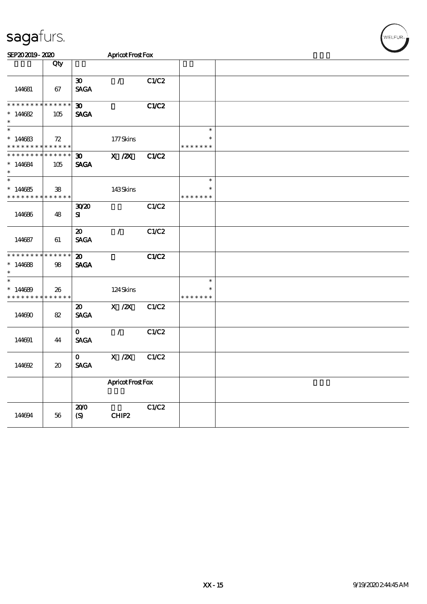| SEP202019-2020                                                       |                                     |                                            | Apricot Frost Fox |       |                                   |  |  |  |
|----------------------------------------------------------------------|-------------------------------------|--------------------------------------------|-------------------|-------|-----------------------------------|--|--|--|
|                                                                      | Qty                                 |                                            |                   |       |                                   |  |  |  |
| 144681                                                               | 67                                  | $\boldsymbol{\mathfrak{D}}$<br><b>SAGA</b> | $\mathcal{L}$     | C1/C2 |                                   |  |  |  |
| * * * * * * * * * * * * * *<br>$*14682$<br>$\ast$                    | 105                                 | $\boldsymbol{\mathfrak{D}}$<br><b>SAGA</b> |                   | C1/C2 |                                   |  |  |  |
| $\ast$<br>$*14683$<br>* * * * * * * * * * * * * *                    | 72                                  |                                            | 177Skins          |       | $\ast$<br>$\ast$<br>* * * * * * * |  |  |  |
| * * * * * * * *<br>$*14684$<br>$\ast$                                | $******$<br>105                     | 30 <sub>o</sub><br><b>SAGA</b>             | $X$ / $ZX$        | C1/C2 |                                   |  |  |  |
| $\overline{\phantom{0}}$<br>$*144685$<br>* * * * * * * * * * * * * * | 38                                  |                                            | 143Skins          |       | $\ast$<br>$\ast$<br>* * * * * * * |  |  |  |
| 144686                                                               | 48                                  | 3020<br>${\bf s}$                          |                   | C1/C2 |                                   |  |  |  |
| 144687                                                               | 61                                  | $\boldsymbol{\mathfrak{D}}$<br><b>SAGA</b> | $\prime$          | C1/C2 |                                   |  |  |  |
| * * * * * * * *<br>$*14688$<br>$\ast$                                | $* * * * * * *$<br>98               | $\boldsymbol{\mathfrak{D}}$<br><b>SAGA</b> |                   | C1/C2 |                                   |  |  |  |
| $\ast$<br>$*14689$<br>* * * * * * * * <mark>* * * * * * *</mark>     | 26                                  |                                            | 124Skins          |       | $\ast$<br>$\ast$<br>* * * * * * * |  |  |  |
| 144690                                                               | 82                                  | $\boldsymbol{\mathfrak{D}}$<br><b>SAGA</b> | $X$ / $ZX$        | C1/C2 |                                   |  |  |  |
| 144691                                                               | 44                                  | $\mathbf{O}$<br><b>SAGA</b>                | $\mathcal{F}$     | C1/C2 |                                   |  |  |  |
| 144692                                                               | $\boldsymbol{\boldsymbol{\lambda}}$ | $\mathbf{O}$<br><b>SAGA</b>                | $X$ / $ZX$        | C1/C2 |                                   |  |  |  |
|                                                                      |                                     |                                            | Apricot Frost Fox |       |                                   |  |  |  |
| 144694                                                               | 56                                  | 200<br>(S)                                 | CHIP2             | C1/C2 |                                   |  |  |  |

WELFUR<sub><sup>N</sub></sub></sub></sup>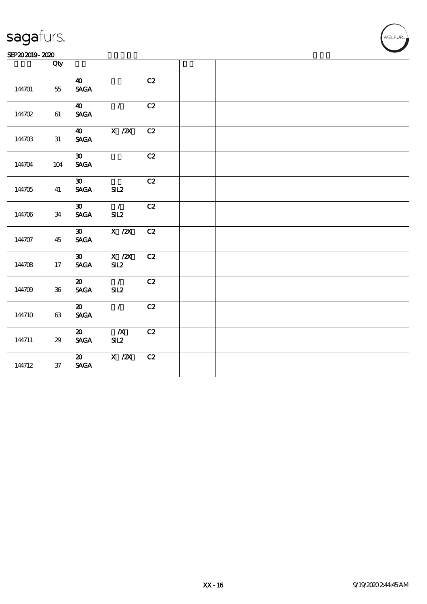#### SEP202019-2020

|        | Qty        |                                                               |                         |    |  |
|--------|------------|---------------------------------------------------------------|-------------------------|----|--|
| 144701 | $5\!5$     | $\boldsymbol{\omega}$<br>$\ensuremath{\mathsf{SAGA}}$         |                         | C2 |  |
| 144702 | $61\,$     | $\boldsymbol{40}$<br><b>SAGA</b>                              | $\mathcal{L}$           | C2 |  |
| 144703 | 31         | $\boldsymbol{\omega}$<br>$\operatorname{\mathsf{SAGA}}$       | X / ZX                  | C2 |  |
| 144704 | 104        | $\boldsymbol{\mathfrak{D}}$<br><b>SAGA</b>                    |                         | C2 |  |
| 144705 | 41         | $\boldsymbol{\mathfrak{D}}$<br><b>SAGA</b>                    | SL2                     | C2 |  |
| 144706 | 34         | $\boldsymbol{\mathfrak{D}}$<br>$\operatorname{\mathbf{SAGA}}$ | $\mathcal{L}$<br>SL2    | C2 |  |
| 144707 | 45         | $\boldsymbol{\mathfrak{D}}$<br><b>SAGA</b>                    | $X$ / $ZX$              | C2 |  |
| 144708 | $17\,$     | $\pmb{\mathfrak{D}}$<br><b>SAGA</b>                           | X / ZX<br>SL2           | C2 |  |
| 144709 | ${\bf 36}$ | $\boldsymbol{\mathsf{20}}$<br>$\operatorname{\mathbf{SAGA}}$  | $\mathcal{L}$<br>SL2    | C2 |  |
| 144710 | 63         | $\boldsymbol{\mathfrak{D}}$<br>$\ensuremath{\mathsf{SAGA}}$   | $\mathcal{L}$           | C2 |  |
| 144711 | $2\!9$     | $\boldsymbol{\mathsf{20}}$<br>$\operatorname{\mathbf{SAGA}}$  | $\boldsymbol{X}$<br>SL2 | C2 |  |
| 144712 | ${\bf 37}$ | $\boldsymbol{\mathfrak{D}}$<br><b>SAGA</b>                    | $X$ / $ZX$              | C2 |  |

**VELFUR**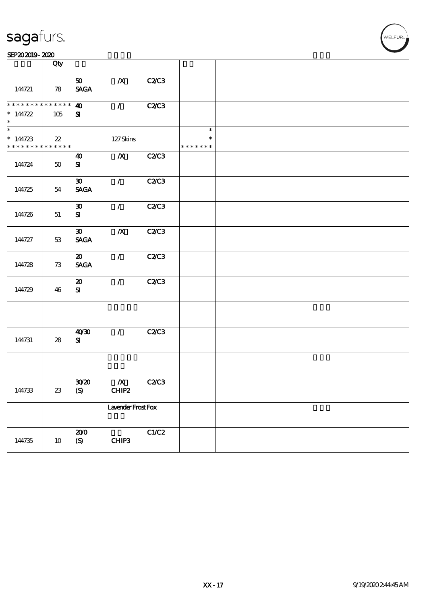| SEP202019-2020 |  |
|----------------|--|
|----------------|--|

|                                                                      | Qty    |                                            |                           |              |                                   |  |
|----------------------------------------------------------------------|--------|--------------------------------------------|---------------------------|--------------|-----------------------------------|--|
| 144721                                                               | 78     | 50 <sub>o</sub><br><b>SAGA</b>             | $\boldsymbol{X}$          | C2C3         |                                   |  |
| * * * * * * * * * * * * * *<br>$* 144722$<br>$\ast$                  | 105    | $\boldsymbol{\omega}$<br>${\bf s}$         | $\mathcal{T}$             | <b>C2/C3</b> |                                   |  |
| $\overline{\phantom{0}}$<br>$*144723$<br>* * * * * * * * * * * * * * | $22\,$ |                                            | $127$ Skins               |              | $\ast$<br>$\ast$<br>* * * * * * * |  |
| 144724                                                               | $50\,$ | $\boldsymbol{\omega}$<br>${\bf s}$         | $\boldsymbol{X}$          | C2C3         |                                   |  |
| 144725                                                               | 54     | $\boldsymbol{\mathfrak{D}}$<br><b>SAGA</b> | $\mathcal{L}$             | <b>C2/C3</b> |                                   |  |
| 144726                                                               | 51     | $\boldsymbol{\mathfrak{D}}$<br>${\bf s}$   | $\mathcal{L}$             | C2C3         |                                   |  |
| 144727                                                               | 53     | $\boldsymbol{\mathfrak{D}}$<br><b>SAGA</b> | $\boldsymbol{X}$          | C2C3         |                                   |  |
| 144728                                                               | 73     | $\boldsymbol{\mathfrak{D}}$<br><b>SAGA</b> | $\mathcal{T}$             | <b>C2/C3</b> |                                   |  |
| 144729                                                               | 46     | $\boldsymbol{\mathbf{z}}$<br>${\bf s}$     | $\mathcal{F}$             | C2C3         |                                   |  |
|                                                                      |        |                                            |                           |              |                                   |  |
| 144731                                                               | 28     | 4030<br>${\bf s}$                          | $\mathcal{L}$             | <b>C2/C3</b> |                                   |  |
|                                                                      |        |                                            |                           |              |                                   |  |
| 144733                                                               | $23\,$ | 30 <sup>20</sup><br>(S)                    | $\boldsymbol{X}$<br>CHIP2 | <b>C2/C3</b> |                                   |  |
|                                                                      |        |                                            | Lavender Frost Fox        |              |                                   |  |
| 144735                                                               | $10\,$ | 200<br>$\boldsymbol{S}$                    | CHIP3                     | C1/C2        |                                   |  |